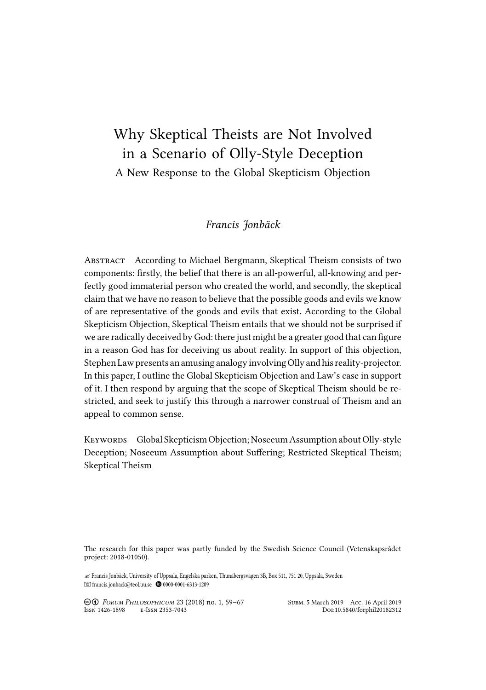# Why Skeptical Theists are Not Involved in a Scenario of Olly-Style Deception A New Response to the Global Skepticism Objection

## *Francis Jonbäck*

ABSTRACT According to Michael Bergmann, Skeptical Theism consists of two components: firstly, the belief that there is an all-powerful, all-knowing and perfectly good immaterial person who created the world, and secondly, the skeptical claim that we have no reason to believe that the possible goods and evils we know of are representative of the goods and evils that exist. According to the Global Skepticism Objection, Skeptical Theism entails that we should not be surprised if we are radically deceived by God: there just might be a greater good that can figure in a reason God has for deceiving us about reality. In support of this objection, Stephen Law presents an amusing analogy involving Olly and his reality-projector. In this paper, I outline the Global Skepticism Objection and Law's case in support of it. I then respond by arguing that the scope of Skeptical Theism should be restricted, and seek to justify this through a narrower construal of Theism and an appeal to common sense.

KEYWORDS Global Skepticism Objection; Noseeum Assumption about Olly-style Deception; Noseeum Assumption about Suffering; Restricted Skeptical Theism; Skeptical Theism

The research for this paper was partly funded by the Swedish Science Council (Vetenskapsrådet project: 2018-01050).

✍ Francis Jonbäck, University of Uppsala, Engelska parken, Thunabergsvägen 3B, Box 511, 751 20, Uppsala, Sweden francis.jonback@teol.uu.se 0000-0001-6313-1209

° Ə *FORUM PHILOSOPHICUM* 23 (2018) no. 1, 59–67 SUBM. 5 March 2019 ACC. 16 April 2019 ISSN 1426-1898 E-ISSN 2353-7043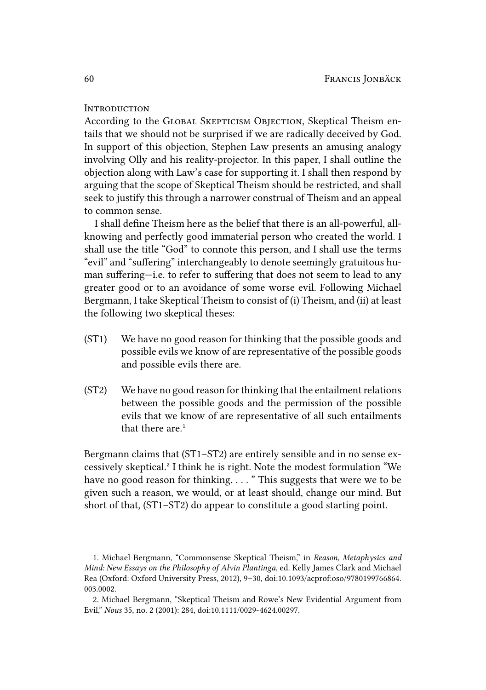### **INTRODUCTION**

According to the GLOBAL SKEPTICISM OBJECTION, Skeptical Theism entails that we should not be surprised if we are radically deceived by God. In support of this objection, Stephen Law presents an amusing analogy involving Olly and his reality-projector. In this paper, I shall outline the objection along with Law's case for supporting it. I shall then respond by arguing that the scope of Skeptical Theism should be restricted, and shall seek to justify this through a narrower construal of Theism and an appeal to common sense.

I shall define Theism here as the belief that there is an all-powerful, allknowing and perfectly good immaterial person who created the world. I shall use the title "God" to connote this person, and I shall use the terms "evil" and "suffering" interchangeably to denote seemingly gratuitous human suffering—i.e. to refer to suffering that does not seem to lead to any greater good or to an avoidance of some worse evil. Following Michael Bergmann, I take Skeptical Theism to consist of (i) Theism, and (ii) at least the following two skeptical theses:

- (ST1) We have no good reason for thinking that the possible goods and possible evils we know of are representative of the possible goods and possible evils there are.
- (ST2) We have no good reason for thinking that the entailment relations between the possible goods and the permission of the possible evils that we know of are representative of all such entailments that there are  $1$

Bergmann claims that (ST1–ST2) are entirely sensible and in no sense excessively skeptical.² I think he is right. Note the modest formulation "We have no good reason for thinking...." This suggests that were we to be given such a reason, we would, or at least should, change our mind. But short of that, (ST1–ST2) do appear to constitute a good starting point.

<sup>1.</sup> Michael Bergmann, "Commonsense Skeptical Theism," in *Reason, Metaphysics and Mind: New Essays on the Philosophy of Alvin Plantinga*, ed. Kelly James Clark and Michael Rea (Oxford: Oxford University Press, 2012), 9–30, doi:10.1093/acprof:oso/9780199766864. 003.0002.

<sup>2.</sup> Michael Bergmann, "Skeptical Theism and Rowe's New Evidential Argument from Evil," *Nous* 35, no. 2 (2001): 284, doi:10.1111/0029-4624.00297.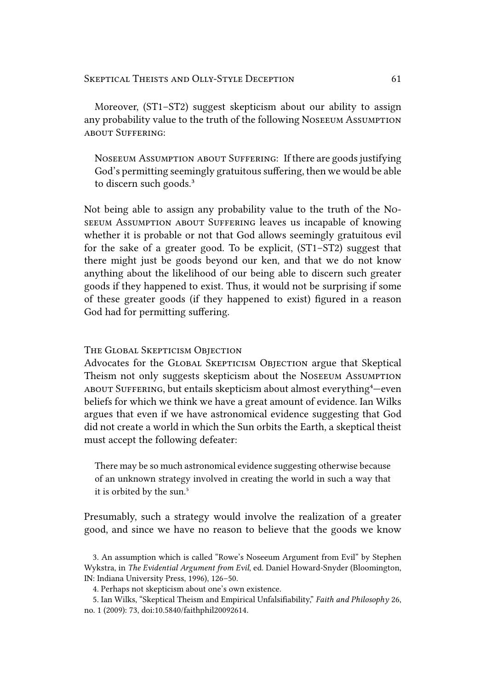Moreover, (ST1–ST2) suggest skepticism about our ability to assign any probability value to the truth of the following NOSEEUM ASSUMPTION ABOUT SUFFERING:

NOSEEUM ASSUMPTION ABOUT SUFFERING: If there are goods justifying God's permitting seemingly gratuitous suffering, then we would be able to discern such goods.<sup>3</sup>

Not being able to assign any probability value to the truth of the NO-SEEUM ASSUMPTION ABOUT SUFFERING leaves us incapable of knowing whether it is probable or not that God allows seemingly gratuitous evil for the sake of a greater good. To be explicit, (ST1–ST2) suggest that there might just be goods beyond our ken, and that we do not know anything about the likelihood of our being able to discern such greater goods if they happened to exist. Thus, it would not be surprising if some of these greater goods (if they happened to exist) figured in a reason God had for permitting suffering.

#### THE GLOBAL SKEPTICISM OBJECTION

Advocates for the GLOBAL SKEPTICISM OBJECTION argue that Skeptical Theism not only suggests skepticism about the NOSEEUM ASSUMPTION ABOUT SUFFERING, but entails skepticism about almost everything<sup>4</sup>-even beliefs for which we think we have a great amount of evidence. Ian Wilks argues that even if we have astronomical evidence suggesting that God did not create a world in which the Sun orbits the Earth, a skeptical theist must accept the following defeater:

There may be so much astronomical evidence suggesting otherwise because of an unknown strategy involved in creating the world in such a way that it is orbited by the sun.<sup>5</sup>

Presumably, such a strategy would involve the realization of a greater good, and since we have no reason to believe that the goods we know

<sup>3.</sup> An assumption which is called "Rowe's Noseeum Argument from Evil" by Stephen Wykstra, in *The Evidential Argument from Evil*, ed. Daniel Howard-Snyder (Bloomington, IN: Indiana University Press, 1996), 126–50.

<sup>4.</sup> Perhaps not skepticism about one's own existence.

<sup>5.</sup> Ian Wilks, "Skeptical Theism and Empirical Unfalsifiability," *Faith and Philosophy* 26, no. 1 (2009): 73, doi:10.5840/faithphil20092614.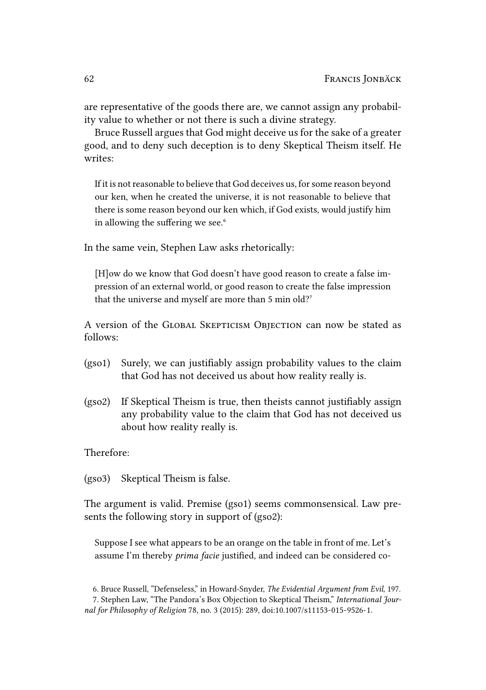are representative of the goods there are, we cannot assign any probability value to whether or not there is such a divine strategy.

Bruce Russell argues that God might deceive us for the sake of a greater good, and to deny such deception is to deny Skeptical Theism itself. He writes:

If it is not reasonable to believe that God deceives us, for some reason beyond our ken, when he created the universe, it is not reasonable to believe that there is some reason beyond our ken which, if God exists, would justify him in allowing the suffering we see.<sup>6</sup>

In the same vein, Stephen Law asks rhetorically:

[H]ow do we know that God doesn't have good reason to create a false impression of an external world, or good reason to create the false impression that the universe and myself are more than 5 min old?<sup>7</sup>

A version of the GLOBAL SKEPTICISM OBJECTION can now be stated as follows:

- (gso1) Surely, we can justifiably assign probability values to the claim that God has not deceived us about how reality really is.
- (gso2) If Skeptical Theism is true, then theists cannot justifiably assign any probability value to the claim that God has not deceived us about how reality really is.

Therefore:

(gso3) Skeptical Theism is false.

The argument is valid. Premise (gso1) seems commonsensical. Law presents the following story in support of (gso2):

Suppose I see what appears to be an orange on the table in front of me. Let's assume I'm thereby *prima facie* justified, and indeed can be considered co-

6. Bruce Russell, "Defenseless," in Howard-Snyder, *The Evidential Argument from Evil*, 197.

<sup>7.</sup> Stephen Law, "The Pandora's Box Objection to Skeptical Theism," *International Journal for Philosophy of Religion* 78, no. 3 (2015): 289, doi:10.1007/s11153-015-9526-1.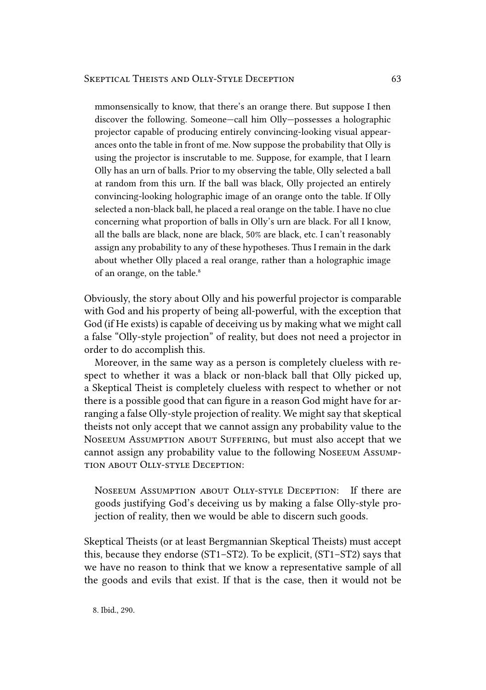mmonsensically to know, that there's an orange there. But suppose I then discover the following. Someone—call him Olly—possesses a holographic projector capable of producing entirely convincing-looking visual appearances onto the table in front of me. Now suppose the probability that Olly is using the projector is inscrutable to me. Suppose, for example, that I learn Olly has an urn of balls. Prior to my observing the table, Olly selected a ball at random from this urn. If the ball was black, Olly projected an entirely convincing-looking holographic image of an orange onto the table. If Olly selected a non-black ball, he placed a real orange on the table. I have no clue concerning what proportion of balls in Olly's urn are black. For all I know, all the balls are black, none are black, 50% are black, etc. I can't reasonably assign any probability to any of these hypotheses. Thus I remain in the dark about whether Olly placed a real orange, rather than a holographic image of an orange, on the table.<sup>8</sup>

Obviously, the story about Olly and his powerful projector is comparable with God and his property of being all-powerful, with the exception that God (if He exists) is capable of deceiving us by making what we might call a false "Olly-style projection" of reality, but does not need a projector in order to do accomplish this.

Moreover, in the same way as a person is completely clueless with respect to whether it was a black or non-black ball that Olly picked up, a Skeptical Theist is completely clueless with respect to whether or not there is a possible good that can figure in a reason God might have for arranging a false Olly-style projection of reality. We might say that skeptical theists not only accept that we cannot assign any probability value to the NOSEEUM ASSUMPTION ABOUT SUFFERING, but must also accept that we cannot assign any probability value to the following NOSEEUM ASSUMP-TION ABOUT OLLY-STYLE DECEPTION:

NOSEEUM ASSUMPTION ABOUT OLLY-STYLE DECEPTION: If there are goods justifying God's deceiving us by making a false Olly-style projection of reality, then we would be able to discern such goods.

Skeptical Theists (or at least Bergmannian Skeptical Theists) must accept this, because they endorse (ST1–ST2). To be explicit, (ST1–ST2) says that we have no reason to think that we know a representative sample of all the goods and evils that exist. If that is the case, then it would not be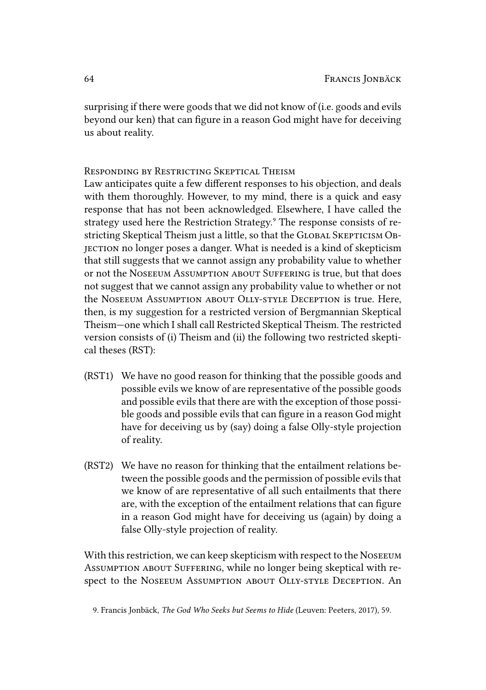surprising if there were goods that we did not know of (i.e. goods and evils beyond our ken) that can figure in a reason God might have for deceiving us about reality.

RESPONDING BY RESTRICTING SKEPTICAL THEISM

Law anticipates quite a few different responses to his objection, and deals with them thoroughly. However, to my mind, there is a quick and easy response that has not been acknowledged. Elsewhere, I have called the strategy used here the Restriction Strategy.<sup>9</sup> The response consists of restricting Skeptical Theism just a little, so that the GLOBAL SKEPTICISM OB-JECTION no longer poses a danger. What is needed is a kind of skepticism that still suggests that we cannot assign any probability value to whether or not the NOSEEUM ASSUMPTION ABOUT SUFFERING is true, but that does not suggest that we cannot assign any probability value to whether or not the NOSEEUM ASSUMPTION ABOUT OLLY-STYLE DECEPTION is true. Here, then, is my suggestion for a restricted version of Bergmannian Skeptical Theism—one which I shall call Restricted Skeptical Theism. The restricted version consists of (i) Theism and (ii) the following two restricted skeptical theses (RST):

- (RST1) We have no good reason for thinking that the possible goods and possible evils we know of are representative of the possible goods and possible evils that there are with the exception of those possible goods and possible evils that can figure in a reason God might have for deceiving us by (say) doing a false Olly-style projection of reality.
- (RST2) We have no reason for thinking that the entailment relations between the possible goods and the permission of possible evils that we know of are representative of all such entailments that there are, with the exception of the entailment relations that can figure in a reason God might have for deceiving us (again) by doing a false Olly-style projection of reality.

With this restriction, we can keep skepticism with respect to the NOSEEUM ASSUMPTION ABOUT SUFFERING, while no longer being skeptical with respect to the NOSEEUM ASSUMPTION ABOUT OLLY-STYLE DECEPTION. An

<sup>9.</sup> Francis Jonbäck, *The God Who Seeks but Seems to Hide* (Leuven: Peeters, 2017), 59.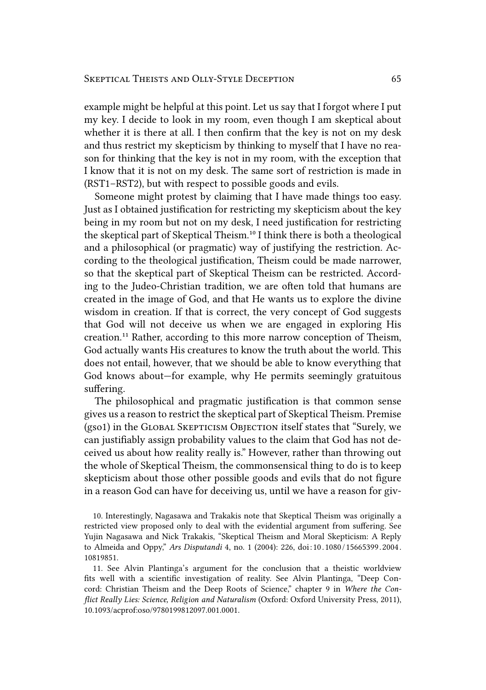example might be helpful at this point. Let us say that I forgot where I put my key. I decide to look in my room, even though I am skeptical about whether it is there at all. I then confirm that the key is not on my desk and thus restrict my skepticism by thinking to myself that I have no reason for thinking that the key is not in my room, with the exception that I know that it is not on my desk. The same sort of restriction is made in (RST1–RST2), but with respect to possible goods and evils.

Someone might protest by claiming that I have made things too easy. Just as I obtained justification for restricting my skepticism about the key being in my room but not on my desk, I need justification for restricting the skeptical part of Skeptical Theism.<sup>10</sup> I think there is both a theological and a philosophical (or pragmatic) way of justifying the restriction. According to the theological justification, Theism could be made narrower, so that the skeptical part of Skeptical Theism can be restricted. According to the Judeo-Christian tradition, we are often told that humans are created in the image of God, and that He wants us to explore the divine wisdom in creation. If that is correct, the very concept of God suggests that God will not deceive us when we are engaged in exploring His creation.<sup>11</sup> Rather, according to this more narrow conception of Theism, God actually wants His creatures to know the truth about the world. This does not entail, however, that we should be able to know everything that God knows about—for example, why He permits seemingly gratuitous suffering.

The philosophical and pragmatic justification is that common sense gives us a reason to restrict the skeptical part of Skeptical Theism. Premise (gso1) in the GLOBAL SKEPTICISM OBJECTION itself states that "Surely, we can justifiably assign probability values to the claim that God has not deceived us about how reality really is." However, rather than throwing out the whole of Skeptical Theism, the commonsensical thing to do is to keep skepticism about those other possible goods and evils that do not figure in a reason God can have for deceiving us, until we have a reason for giv-

10. Interestingly, Nagasawa and Trakakis note that Skeptical Theism was originally a restricted view proposed only to deal with the evidential argument from suffering. See Yujin Nagasawa and Nick Trakakis, "Skeptical Theism and Moral Skepticism: A Reply to Almeida and Oppy," *Ars Disputandi* 4, no. 1 (2004): 226, doi:10 .1080 /15665399 .2004 . 10819851.

11. See Alvin Plantinga's argument for the conclusion that a theistic worldview fits well with a scientific investigation of reality. See Alvin Plantinga, "Deep Concord: Christian Theism and the Deep Roots of Science," chapter 9 in *Where the Conflict Really Lies: Science, Religion and Naturalism* (Oxford: Oxford University Press, 2011), 10.1093/acprof:oso/9780199812097.001.0001.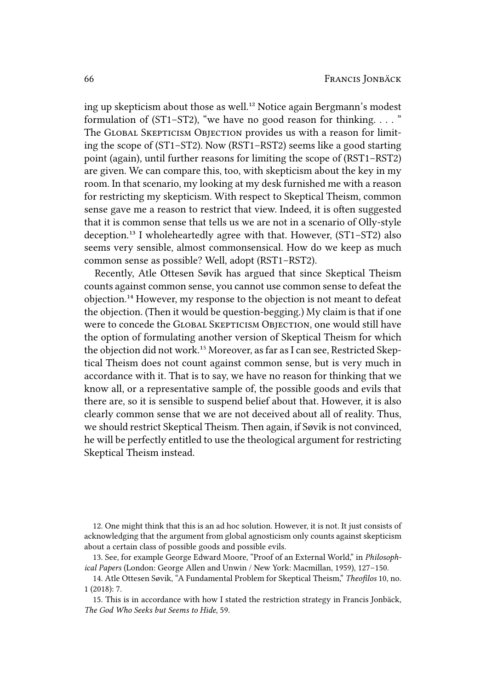ing up skepticism about those as well.<sup>12</sup> Notice again Bergmann's modest formulation of  $(ST1-ST2)$ , "we have no good reason for thinking. . . . " The GLOBAL SKEPTICISM OBJECTION provides us with a reason for limiting the scope of (ST1–ST2). Now (RST1–RST2) seems like a good starting point (again), until further reasons for limiting the scope of (RST1–RST2) are given. We can compare this, too, with skepticism about the key in my room. In that scenario, my looking at my desk furnished me with a reason for restricting my skepticism. With respect to Skeptical Theism, common sense gave me a reason to restrict that view. Indeed, it is often suggested that it is common sense that tells us we are not in a scenario of Olly-style deception.<sup>13</sup> I wholeheartedly agree with that. However, (ST1-ST2) also seems very sensible, almost commonsensical. How do we keep as much common sense as possible? Well, adopt (RST1–RST2).

Recently, Atle Ottesen Søvik has argued that since Skeptical Theism counts against common sense, you cannot use common sense to defeat the objection.<sup>14</sup> However, my response to the objection is not meant to defeat the objection. (Then it would be question-begging.) My claim is that if one were to concede the GLOBAL SKEPTICISM OBJECTION, one would still have the option of formulating another version of Skeptical Theism for which the objection did not work.<sup>15</sup> Moreover, as far as I can see, Restricted Skeptical Theism does not count against common sense, but is very much in accordance with it. That is to say, we have no reason for thinking that we know all, or a representative sample of, the possible goods and evils that there are, so it is sensible to suspend belief about that. However, it is also clearly common sense that we are not deceived about all of reality. Thus, we should restrict Skeptical Theism. Then again, if Søvik is not convinced, he will be perfectly entitled to use the theological argument for restricting Skeptical Theism instead.

12. One might think that this is an ad hoc solution. However, it is not. It just consists of acknowledging that the argument from global agnosticism only counts against skepticism about a certain class of possible goods and possible evils.

13. See, for example George Edward Moore, "Proof of an External World," in *Philosophical Papers* (London: George Allen and Unwin / New York: Macmillan, 1959), 127–150.

14. Atle Ottesen Søvik, "A Fundamental Problem for Skeptical Theism," *Theofilos* 10, no. 1 (2018): 7.

15. This is in accordance with how I stated the restriction strategy in Francis Jonbäck, *The God Who Seeks but Seems to Hide*, 59.